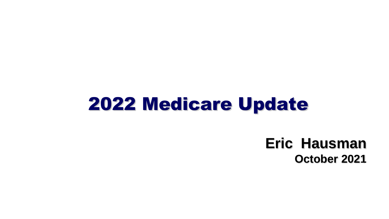### 2022 Medicare Update

### **Eric Hausman October 2021**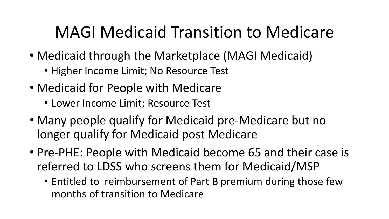### MAGI Medicaid Transition to Medicare

- Medicaid through the Marketplace (MAGI Medicaid)
	- Higher Income Limit; No Resource Test
- Medicaid for People with Medicare
	- Lower Income Limit; Resource Test
- Many people qualify for Medicaid pre-Medicare but no longer qualify for Medicaid post Medicare
- Pre-PHE: People with Medicaid become 65 and their case is referred to LDSS who screens them for Medicaid/MSP
	- Entitled to reimbursement of Part B premium during those few months of transition to Medicare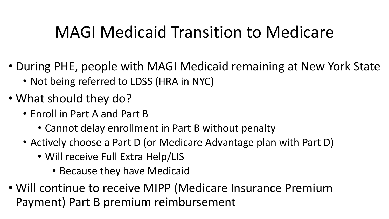### MAGI Medicaid Transition to Medicare

- During PHE, people with MAGI Medicaid remaining at New York State
	- Not being referred to LDSS (HRA in NYC)
- What should they do?
	- Enroll in Part A and Part B
		- Cannot delay enrollment in Part B without penalty
	- Actively choose a Part D (or Medicare Advantage plan with Part D)
		- Will receive Full Extra Help/LIS
			- Because they have Medicaid
- Will continue to receive MIPP (Medicare Insurance Premium Payment) Part B premium reimbursement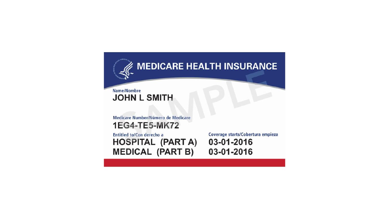

#### **Name/Nombre JOHN L SMITH**

Medicare Number/Número de Medicare **1EG4-TE5-MK72** 

Entitled to/Con derecho a **HOSPITAL (PART A) MEDICAL (PART B)** 

Coverage starts/Cobertura empieza 03-01-2016 03-01-2016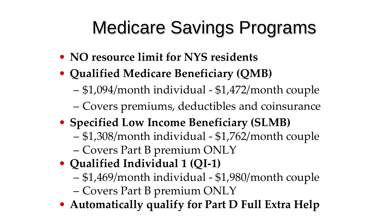# Medicare Savings Programs

- **NO resource limit for NYS residents**
- **Qualified Medicare Beneficiary (QMB)** 
	- \$1,094/month individual \$1,472/month couple
	- Covers premiums, deductibles and coinsurance
- **Specified Low Income Beneficiary (SLMB)**
	- \$1,308/month individual \$1,762/month couple
	- Covers Part B premium ONLY
- **Qualified Individual 1 (QI-1)**
	- \$1,469/month individual \$1,980/month couple
	- Covers Part B premium ONLY
- **Automatically qualify for Part D Full Extra Help**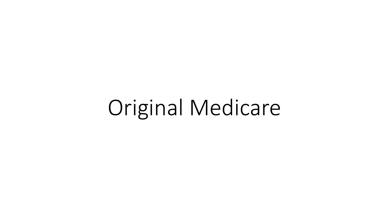# Original Medicare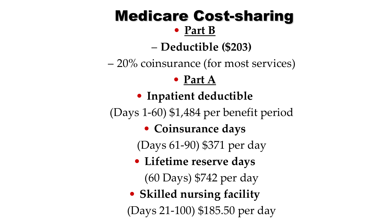### Medicare Cost-sharing

### • **Part B**

– **Deductible (\$203)**

– 20% coinsurance (for most services)

### • **Part A**

### • **Inpatient deductible**

(Days 1-60) \$1,484 per benefit period

• **Coinsurance days**

(Days 61-90) \$371 per day

• **Lifetime reserve days**

(60 Days) \$742 per day

• **Skilled nursing facility** (Days 21-100) \$185.50 per day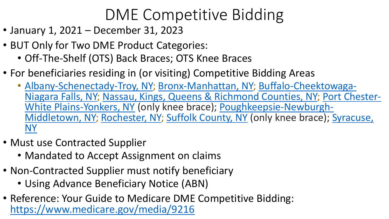## DME Competitive Bidding

- January 1, 2021 December 31, 2023
- BUT Only for Two DME Product Categories:
	- Off-The-Shelf (OTS) Back Braces; OTS Knee Braces
- For beneficiaries residing in (or visiting) Competitive Bidding Areas
	- [Albany-Schenectady-Troy, NY; Bronx-Manhattan, NY; Buffalo-Cheektowaga-](https://dmecompetitivebid.com/cbic/cbic2021_files.nsf/F/CBIC%202021R2021_Buffalo-Cheektowaga-Niagara_Falls_NY.pdf/$FILE/R2021_Buffalo-Cheektowaga-Niagara_Falls_NY.pdf)[Niagara Falls, NY; Nassau, Kings, Queens & Richmond Counties, NY; Port Chester-](https://dmecompetitivebid.com/cbic/cbic2021_files.nsf/F/CBIC%202021R2021_Port_Chester-White_Plains-Yonkers_NY.pdf/$FILE/R2021_Port_Chester-White_Plains-Yonkers_NY.pdf)White Plains-Yonkers, NY (only knee brace); Poughkeepsie-Newburgh-[Middletown, NY; Rochester, NY; Suffolk County, NY](https://dmecompetitivebid.com/cbic/cbic2021_files.nsf/F/CBIC%202021R2021_Poughkeepsie-Newburgh-Middletown_NY.pdf/$FILE/R2021_Poughkeepsie-Newburgh-Middletown_NY.pdf) (only knee brace); Syracuse, NY
- Must use Contracted Supplier
	- Mandated to Accept Assignment on claims
- Non-Contracted Supplier must notify beneficiary
	- Using Advance Beneficiary Notice (ABN)
- Reference: Your Guide to Medicare DME Competitive Bidding: <https://www.medicare.gov/media/9216>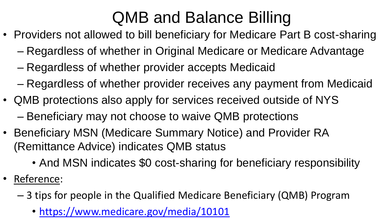## QMB and Balance Billing

- Providers not allowed to bill beneficiary for Medicare Part B cost-sharing
	- Regardless of whether in Original Medicare or Medicare Advantage
	- Regardless of whether provider accepts Medicaid
	- Regardless of whether provider receives any payment from Medicaid
- QMB protections also apply for services received outside of NYS – Beneficiary may not choose to waive QMB protections
- Beneficiary MSN (Medicare Summary Notice) and Provider RA (Remittance Advice) indicates QMB status
	- And MSN indicates \$0 cost-sharing for beneficiary responsibility
- Reference:
	- 3 tips for people in the Qualified Medicare Beneficiary (QMB) Program
		- <https://www.medicare.gov/media/10101>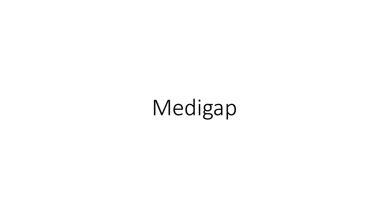Medigap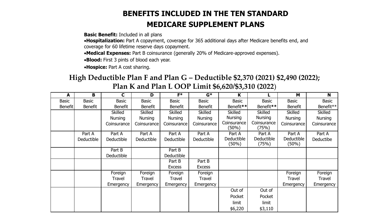#### **BENEFITS INCLUDED IN THE TEN STANDARD MEDICARE SUPPLEMENT PLANS**

**Basic Benefit:** Included in all plans

•**Hospitalization:** Part A copayment, coverage for 365 additional days after Medicare benefits end, and coverage for 60 lifetime reserve days copayment.

•**Medical Expenses:** Part B coinsurance (generally 20% of Medicare-approved expenses).

•**Blood:** First 3 pints of blood each year.

•**Hospice:** Part A cost sharing.

#### **High Deductible Plan F and Plan G – Deductible \$2,370 (2021) \$2,490 (2022); Plan K and Plan L OOP Limit \$6,620/\$3,310 (2022**)

| A              | B              | $\mathbf C$    | D              | $F*$           | $G^*$          | K                      |                      | M                   | N              |
|----------------|----------------|----------------|----------------|----------------|----------------|------------------------|----------------------|---------------------|----------------|
| <b>Basic</b>   | <b>Basic</b>   | <b>Basic</b>   | <b>Basic</b>   | <b>Basic</b>   | <b>Basic</b>   | <b>Basic</b>           | <b>Basic</b>         | <b>Basic</b>        | <b>Basic</b>   |
| <b>Benefit</b> | <b>Benefit</b> | <b>Benefit</b> | <b>Benefit</b> | <b>Benefit</b> | <b>Benefit</b> | Benefit**              | Benefit**            | <b>Benefit</b>      | Benefit**      |
|                |                | <b>Skilled</b> | <b>Skilled</b> | <b>Skilled</b> | <b>Skilled</b> | <b>Skilled</b>         | <b>Skilled</b>       | <b>Skilled</b>      | <b>Skilled</b> |
|                |                | <b>Nursing</b> | <b>Nursing</b> | <b>Nursing</b> | <b>Nursing</b> | <b>Nursing</b>         | <b>Nursing</b>       | <b>Nursing</b>      | Nursing        |
|                |                | Coinsurance    | Coinsurance    | Coinsurance    | Coinsurance    | Coinsurance<br>(50%)   | Coinsurance<br>(75%) | Coinsurance         | Coinsurance    |
|                | Part A         | Part A         | Part A         | Part A         | Part A         | Part A                 | Part A               | Part A              | Part A         |
|                | Deductible     | Deductible     | Deductible     | Deductible     | Deductible     | Deductible<br>$(50\%)$ | Deductible<br>(75%)  | Deductible<br>(50%) | Deductibe      |
|                |                | Part B         |                | Part B         |                |                        |                      |                     |                |
|                |                | Deductible     |                | Deductible     |                |                        |                      |                     |                |
|                |                |                |                | Part B         | Part B         |                        |                      |                     |                |
|                |                |                |                | <b>Excess</b>  | <b>Excess</b>  |                        |                      |                     |                |
|                |                | Foreign        | Foreign        | Foreign        | Foreign        |                        |                      | Foreign             | Foreign        |
|                |                | Travel         | Travel         | Travel         | Travel         |                        |                      | Travel              | <b>Travel</b>  |
|                |                | Emergency      | Emergency      | Emergency      | Emergency      |                        |                      | Emergency           | Emergency      |
|                |                |                |                |                |                | Out of                 | Out of               |                     |                |
|                |                |                |                |                |                | Pocket                 | Pocket               |                     |                |
|                |                |                |                |                |                | limit                  | limit                |                     |                |
|                |                |                |                |                |                | \$6,220                | \$3,110              |                     |                |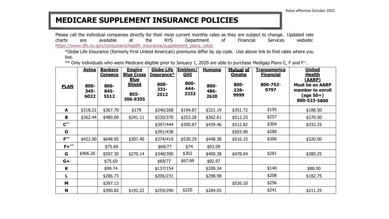#### **MEDICARE SUPPLEMENT INSURANCE POLICIES**

Please call the individual companies directly for their most current monthly rates as they are subject to change. Updated rate charts are available at the NYS Department of Financial Services website: https://www.dfs.ny.gov/consumers/health\_insurance/supplement\_plans\_rates

\*Globe Life Insurance (formerly First United American) premiums differ by zip code. Use above link to find rates where you live.

\*\* Only individuals who were Medicare eligible prior to January 1, 2020 are able to purchase Medigap Plans C, F and F<sup>+</sup>.

|             | <u>Aetna</u>         | <b>Bankers</b><br><b>Conseco</b> | <b>Empire</b><br><b>Blue Cross</b>               | <b>Globe Life</b><br>Insurance* | <u> Emblem/</u><br><b>GHI</b> | <b>Humana</b>        | <b>Mutual of</b><br><b>Omaha</b> | <u>Transamerica</u><br><b>Financial</b> | <b>United</b><br><b>Health</b>                                                    |
|-------------|----------------------|----------------------------------|--------------------------------------------------|---------------------------------|-------------------------------|----------------------|----------------------------------|-----------------------------------------|-----------------------------------------------------------------------------------|
| <b>PLAN</b> | 800-<br>345-<br>6022 | 800-<br>845-<br>5512             | <b>Blue</b><br><b>Shield</b><br>855-<br>306-9355 | 800-<br>$331 -$<br>2512         | 800-<br>444-<br>2333          | 800-<br>486-<br>2620 | 800-<br>$228 -$<br>9999          | 800-752-<br>9797                        | (AARP)<br><b>Must be an AARP</b><br>member to enroll<br>(age 50+)<br>800-523-5800 |
| A           | \$318.21             | \$367.70                         | \$179                                            | \$240/268                       | \$194.87                      | \$321.19             | \$351.72                         | \$195                                   | \$188.50                                                                          |
| B           | \$362.44             | \$480.69                         | \$241.11                                         | \$330/370                       | \$253.28                      | \$362.61             | \$512.25                         | \$257                                   | \$270.50                                                                          |
| $C^{**}$    |                      |                                  |                                                  | \$397/444                       | \$300.87                      | \$439.46             | \$512.82                         | \$304                                   | \$332.25                                                                          |
| D           |                      |                                  |                                                  | \$391/438                       |                               |                      | \$503.90                         | \$280                                   |                                                                                   |
| $F***$      | \$422.90             | \$648.95                         | \$307.40                                         | \$374/419                       | \$530.29                      | \$448.38             | \$516.15                         | \$306                                   | \$320.00                                                                          |
| $F+***$     |                      | \$75.69                          |                                                  | \$69/77                         | \$74                          | \$93.09              |                                  |                                         |                                                                                   |
| G           | \$406.26             | \$597.30                         | \$270.14                                         | \$348/390                       | \$302                         | \$400.38             | \$478.04                         | \$281                                   | \$280.25                                                                          |
| $G+$        |                      | \$75.69                          |                                                  | \$69/77                         | \$67.69                       | \$92.97              |                                  |                                         |                                                                                   |
| K           |                      | \$99.74                          |                                                  | \$137/154                       |                               | \$209.34             |                                  | \$140                                   | \$88.00                                                                           |
| L           |                      | \$286.73                         |                                                  | \$206/231                       |                               | \$298.98             |                                  | \$208                                   | \$182.75                                                                          |
| M           |                      | \$397.13                         |                                                  |                                 |                               |                      | \$526.10                         | \$256                                   |                                                                                   |
| N           |                      | \$390.82                         | \$192.22                                         | \$259/290                       | \$220                         | \$284.05             |                                  | \$241                                   | \$211.25                                                                          |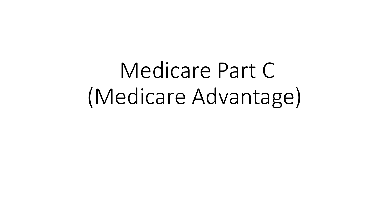Medicare Part C (Medicare Advantage)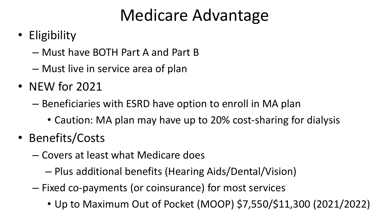### Medicare Advantage

- Eligibility
	- Must have BOTH Part A and Part B
	- Must live in service area of plan
- NEW for 2021
	- Beneficiaries with ESRD have option to enroll in MA plan
		- Caution: MA plan may have up to 20% cost-sharing for dialysis
- Benefits/Costs
	- Covers at least what Medicare does
		- Plus additional benefits (Hearing Aids/Dental/Vision)
	- Fixed co-payments (or coinsurance) for most services
		- Up to Maximum Out of Pocket (MOOP) \$7,550/\$11,300 (2021/2022)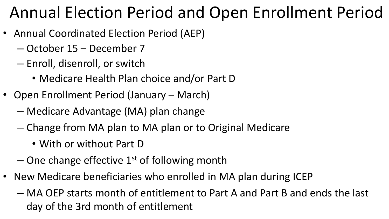### Annual Election Period and Open Enrollment Period

- Annual Coordinated Election Period (AEP)
	- October 15 December 7
	- Enroll, disenroll, or switch
		- Medicare Health Plan choice and/or Part D
- Open Enrollment Period (January March)
	- Medicare Advantage (MA) plan change
	- Change from MA plan to MA plan or to Original Medicare
		- With or without Part D
	- $-$  One change effective 1<sup>st</sup> of following month
- New Medicare beneficiaries who enrolled in MA plan during ICEP
	- MA OEP starts month of entitlement to Part A and Part B and ends the last day of the 3rd month of entitlement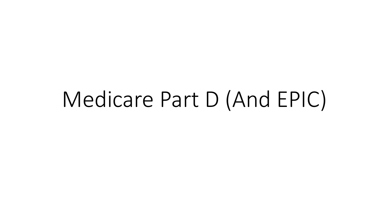# Medicare Part D (And EPIC)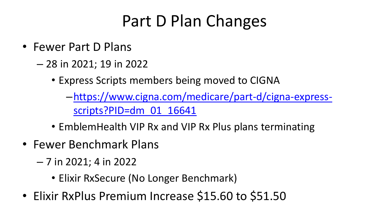## Part D Plan Changes

- Fewer Part D Plans
	- 28 in 2021; 19 in 2022
		- Express Scripts members being moved to CIGNA
			- –[https://www.cigna.com/medicare/part-d/cigna-express](https://www.cigna.com/medicare/part-d/cigna-express-scripts?PID=dm_01_16641)scripts?PID=dm\_01\_16641
		- EmblemHealth VIP Rx and VIP Rx Plus plans terminating
- Fewer Benchmark Plans
	- 7 in 2021; 4 in 2022
		- Elixir RxSecure (No Longer Benchmark)
- Elixir RxPlus Premium Increase \$15.60 to \$51.50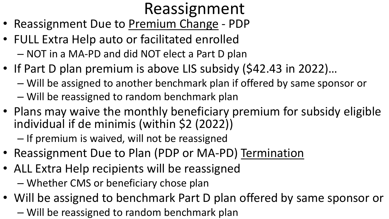## Reassignment

- Reassignment Due to Premium Change PDP
- FULL Extra Help auto or facilitated enrolled – NOT in a MA-PD and did NOT elect a Part D plan
- If Part D plan premium is above LIS subsidy (\$42.43 in 2022)...
	- Will be assigned to another benchmark plan if offered by same sponsor or
	- Will be reassigned to random benchmark plan
- Plans may waive the monthly beneficiary premium for subsidy eligible individual if de minimis (within \$2 (2022))

– If premium is waived, will not be reassigned

- Reassignment Due to Plan (PDP or MA-PD) Termination
- ALL Extra Help recipients will be reassigned – Whether CMS or beneficiary chose plan
- Will be assigned to benchmark Part D plan offered by same sponsor or – Will be reassigned to random benchmark plan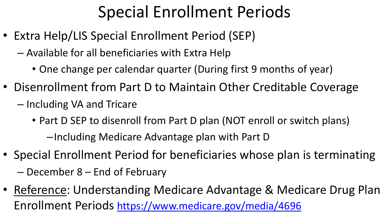## Special Enrollment Periods

- Extra Help/LIS Special Enrollment Period (SEP)
	- Available for all beneficiaries with Extra Help
		- One change per calendar quarter (During first 9 months of year)
- Disenrollment from Part D to Maintain Other Creditable Coverage
	- Including VA and Tricare
		- Part D SEP to disenroll from Part D plan (NOT enroll or switch plans) –Including Medicare Advantage plan with Part D
- Special Enrollment Period for beneficiaries whose plan is terminating
	- December 8 End of February
- Reference: Understanding Medicare Advantage & Medicare Drug Plan Enrollment Periods <https://www.medicare.gov/media/4696>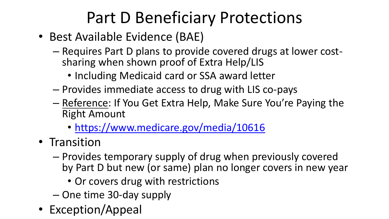## Part D Beneficiary Protections

- Best Available Evidence (BAE)
	- Requires Part D plans to provide covered drugs at lower costsharing when shown proof of Extra Help/LIS
		- Including Medicaid card or SSA award letter
	- Provides immediate access to drug with LIS co-pays
	- Reference: If You Get Extra Help, Make Sure You're Paying the Right Amount
		- <https://www.medicare.gov/media/10616>
- Transition
	- Provides temporary supply of drug when previously covered by Part D but new (or same) plan no longer covers in new year
		- Or covers drug with restrictions
	- One time 30-day supply
- Exception/Appeal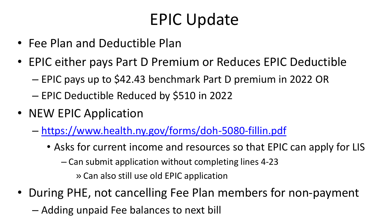## EPIC Update

- Fee Plan and Deductible Plan
- EPIC either pays Part D Premium or Reduces EPIC Deductible
	- EPIC pays up to \$42.43 benchmark Part D premium in 2022 OR
	- EPIC Deductible Reduced by \$510 in 2022
- NEW EPIC Application
	- <https://www.health.ny.gov/forms/doh-5080-fillin.pdf>
		- Asks for current income and resources so that EPIC can apply for LIS

– Can submit application without completing lines 4-23

» Can also still use old EPIC application

- During PHE, not cancelling Fee Plan members for non-payment
	- Adding unpaid Fee balances to next bill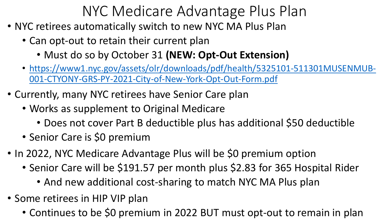- NYC retirees automatically switch to new NYC MA Plus Plan
	- Can opt-out to retain their current plan
		- Must do so by October 31 **(NEW: Opt-Out Extension)**
	- [https://www1.nyc.gov/assets/olr/downloads/pdf/health/5325101-511301MUSENMUB-](https://www1.nyc.gov/assets/olr/downloads/pdf/health/5325101-511301MUSENMUB-001-CTYONY-GRS-PY-2021-City-of-New-York-Opt-Out-Form.pdf)001-CTYONY-GRS-PY-2021-City-of-New-York-Opt-Out-Form.pdf
- Currently, many NYC retirees have Senior Care plan
	- Works as supplement to Original Medicare
		- Does not cover Part B deductible plus has additional \$50 deductible
	- Senior Care is \$0 premium
- In 2022, NYC Medicare Advantage Plus will be \$0 premium option
	- Senior Care will be \$191.57 per month plus \$2.83 for 365 Hospital Rider
		- And new additional cost-sharing to match NYC MA Plus plan
- Some retirees in HIP VIP plan
	- Continues to be \$0 premium in 2022 BUT must opt-out to remain in plan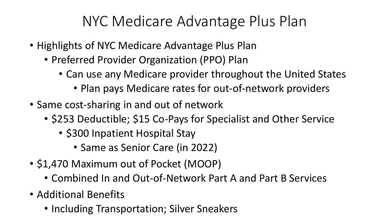- Highlights of NYC Medicare Advantage Plus Plan
	- Preferred Provider Organization (PPO) Plan
		- Can use any Medicare provider throughout the United States
			- Plan pays Medicare rates for out-of-network providers
- Same cost-sharing in and out of network
	- \$253 Deductible; \$15 Co-Pays for Specialist and Other Service
		- \$300 Inpatient Hospital Stay
			- Same as Senior Care (in 2022)
- \$1,470 Maximum out of Pocket (MOOP)
	- Combined In and Out-of-Network Part A and Part B Services
- Additional Benefits
	- Including Transportation; Silver Sneakers